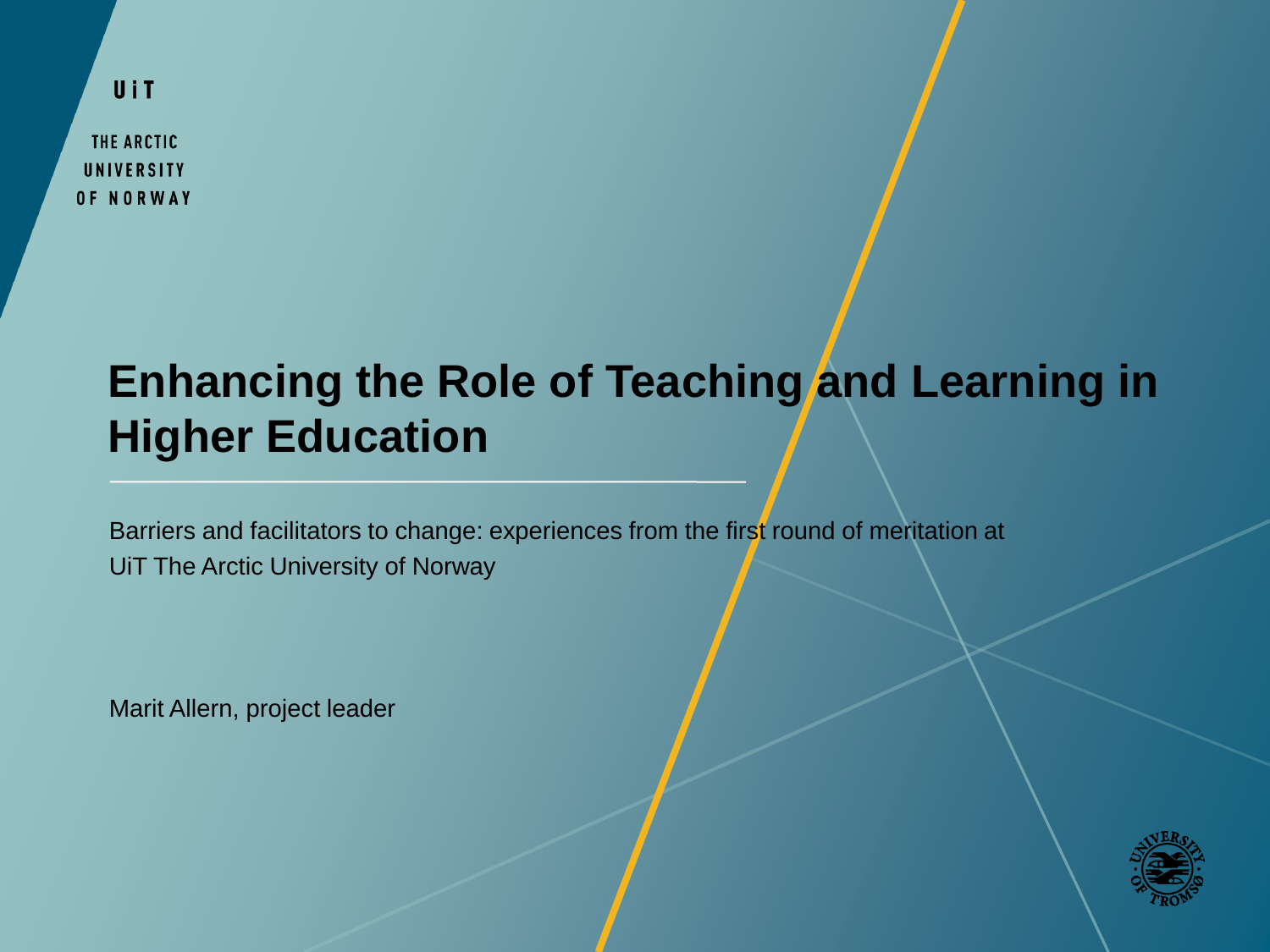UiT

THE ARCTIC UNIVERSITY OF NORWAY

## **Enhancing the Role of Teaching and Learning in Higher Education**

Barriers and facilitators to change: experiences from the first round of meritation at UiT The Arctic University of Norway

Marit Allern, project leader

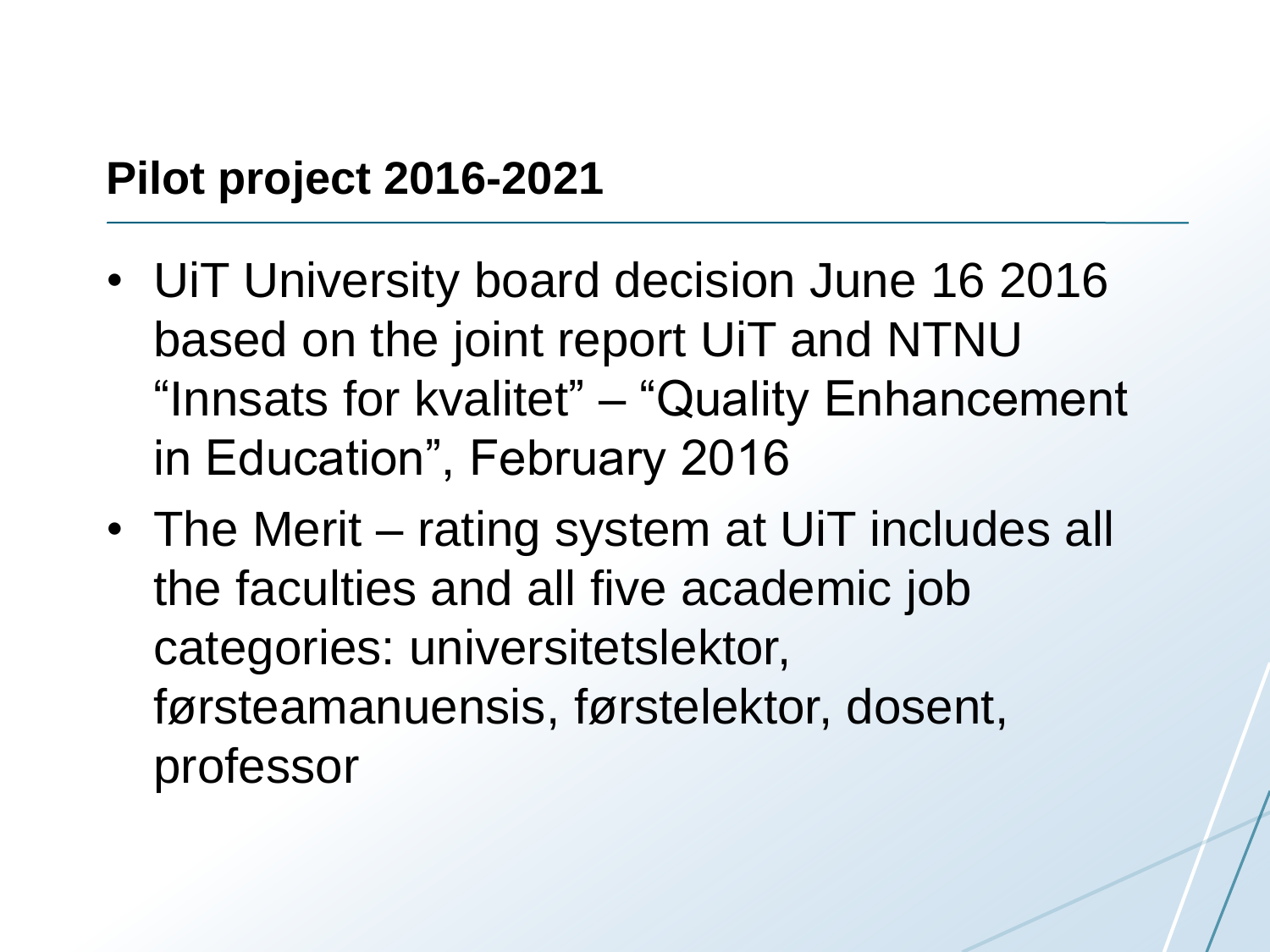#### **Pilot project 2016-2021**

- UiT University board decision June 16 2016 based on the joint report UiT and NTNU "Innsats for kvalitet" – "Quality Enhancement in Education", February 2016
- The Merit rating system at UiT includes all the faculties and all five academic job categories: universitetslektor, førsteamanuensis, førstelektor, dosent, professor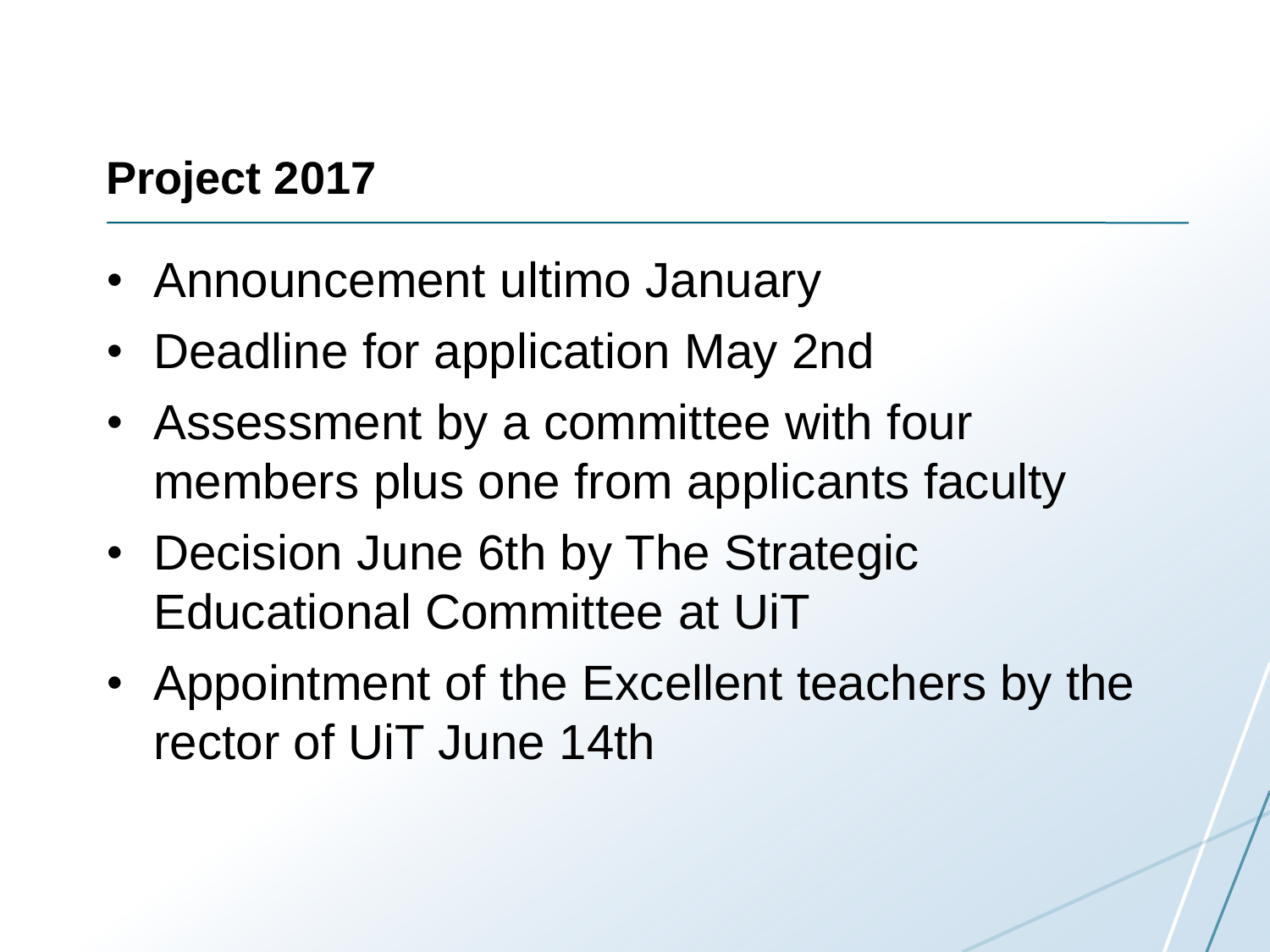## **Project 2017**

- Announcement ultimo January
- Deadline for application May 2nd
- Assessment by a committee with four members plus one from applicants faculty
- Decision June 6th by The Strategic Educational Committee at UiT
- Appointment of the Excellent teachers by the rector of UiT June 14th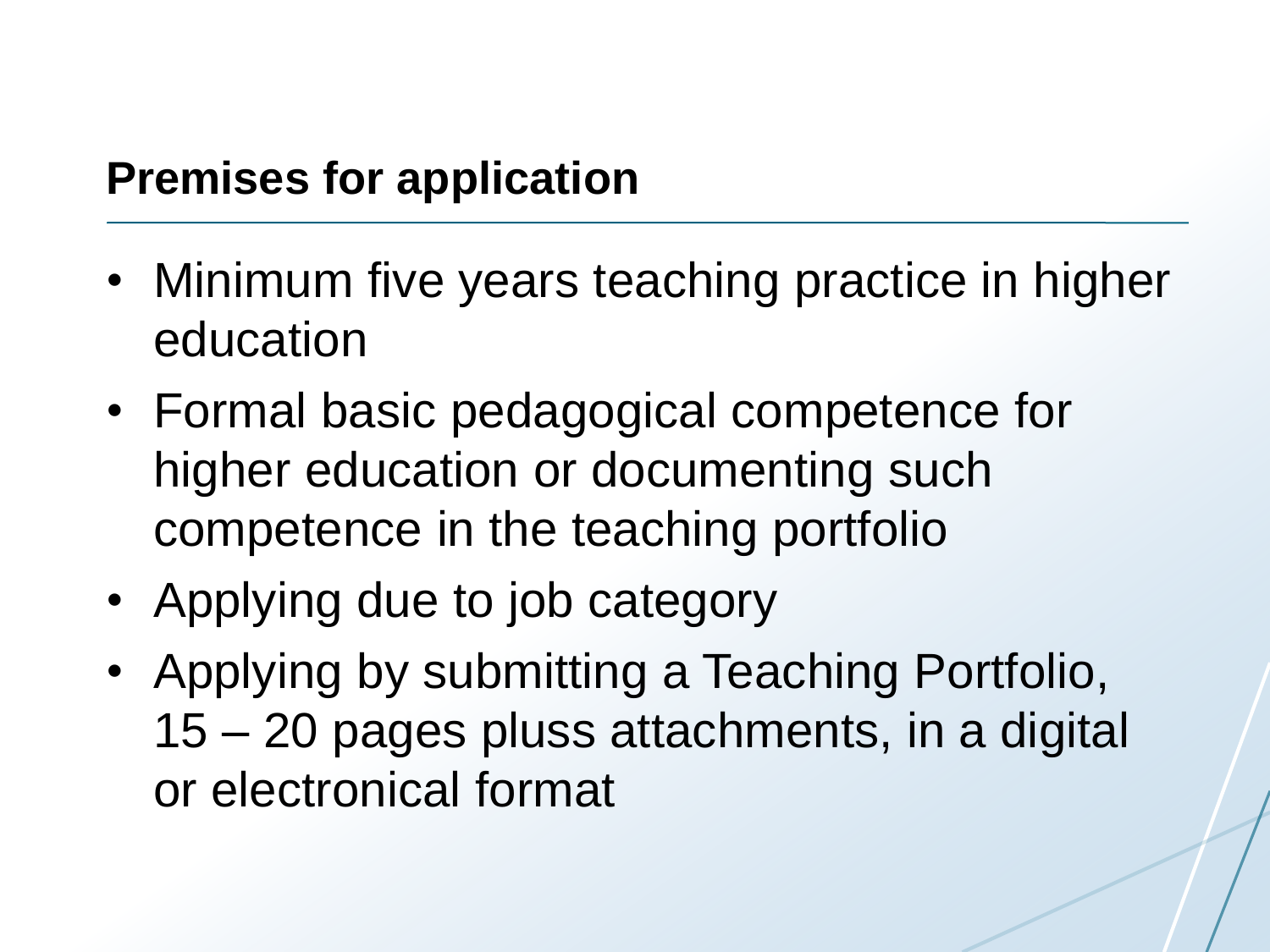#### **Premises for application**

- Minimum five years teaching practice in higher education
- Formal basic pedagogical competence for higher education or documenting such competence in the teaching portfolio
- Applying due to job category
- Applying by submitting a Teaching Portfolio, 15 – 20 pages pluss attachments, in a digital or electronical format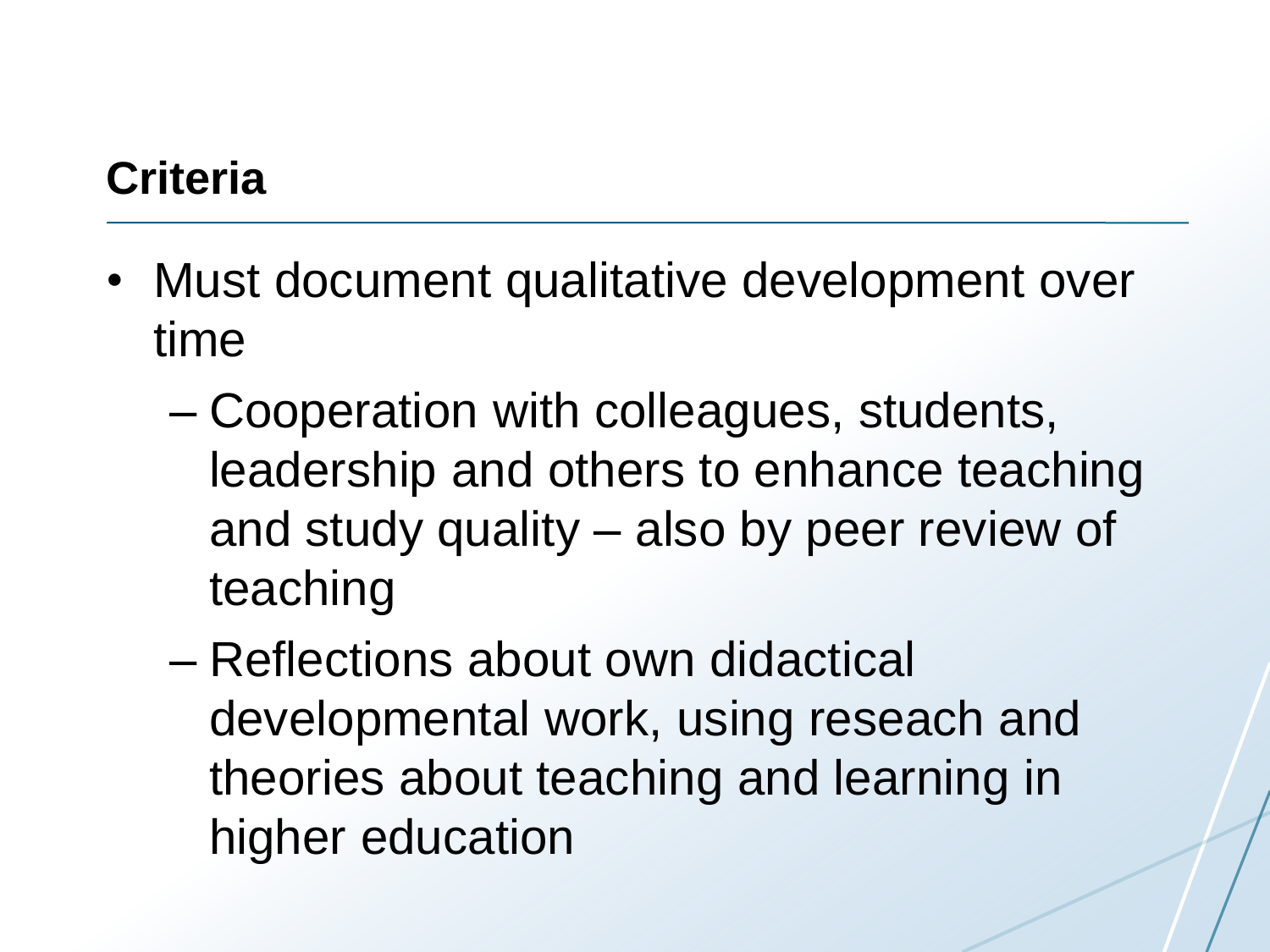# **Criteria**

- Must document qualitative development over time
	- Cooperation with colleagues, students, leadership and others to enhance teaching and study quality – also by peer review of teaching
	- Reflections about own didactical developmental work, using reseach and theories about teaching and learning in higher education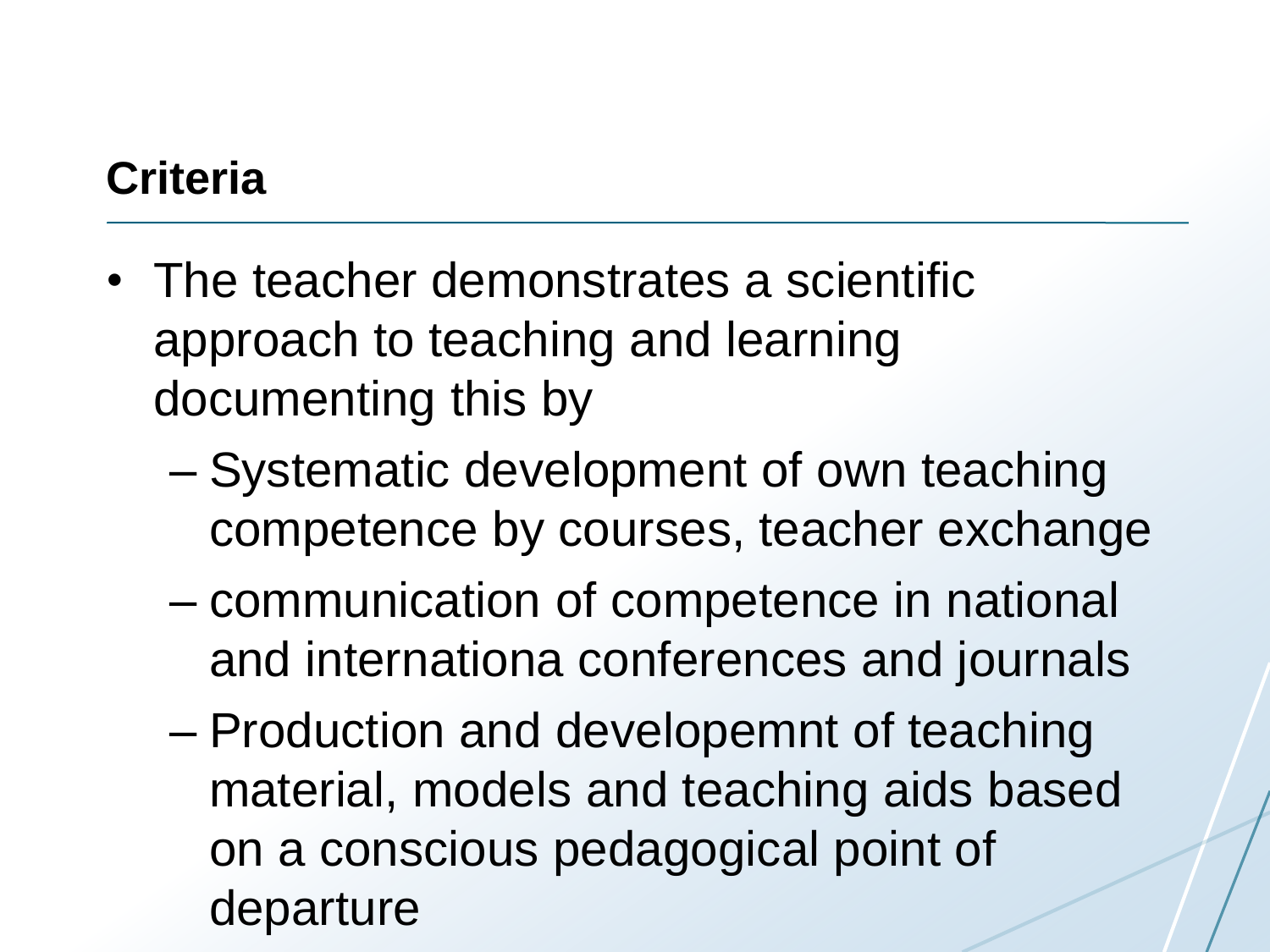## **Criteria**

- The teacher demonstrates a scientific approach to teaching and learning documenting this by
	- Systematic development of own teaching competence by courses, teacher exchange
	- communication of competence in national and internationa conferences and journals
	- Production and developemnt of teaching material, models and teaching aids based on a conscious pedagogical point of departure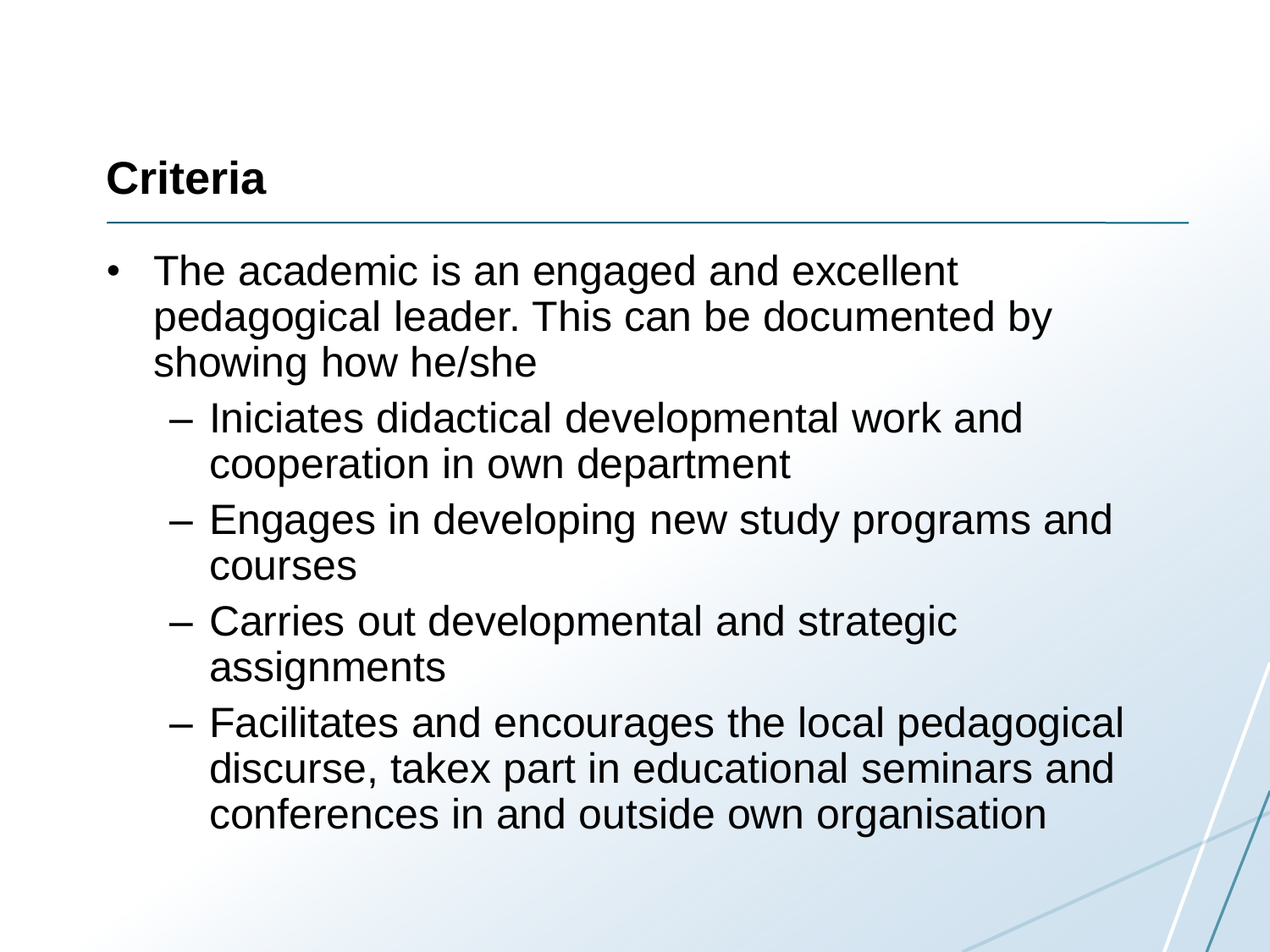# **Criteria**

- The academic is an engaged and excellent pedagogical leader. This can be documented by showing how he/she
	- Iniciates didactical developmental work and cooperation in own department
	- Engages in developing new study programs and courses
	- Carries out developmental and strategic assignments
	- Facilitates and encourages the local pedagogical discurse, takex part in educational seminars and conferences in and outside own organisation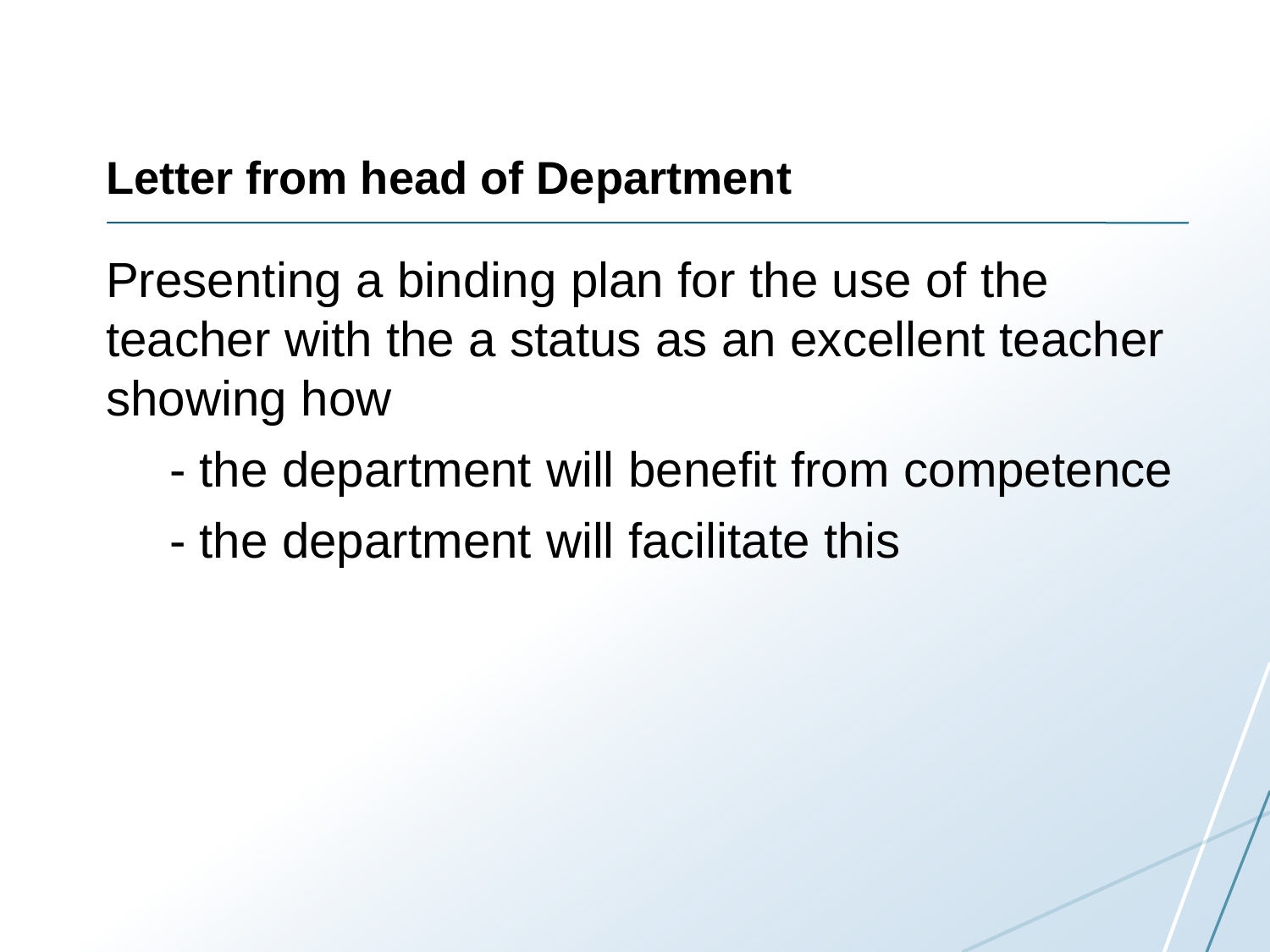#### **Letter from head of Department**

Presenting a binding plan for the use of the teacher with the a status as an excellent teacher showing how

- the department will benefit from competence
- the department will facilitate this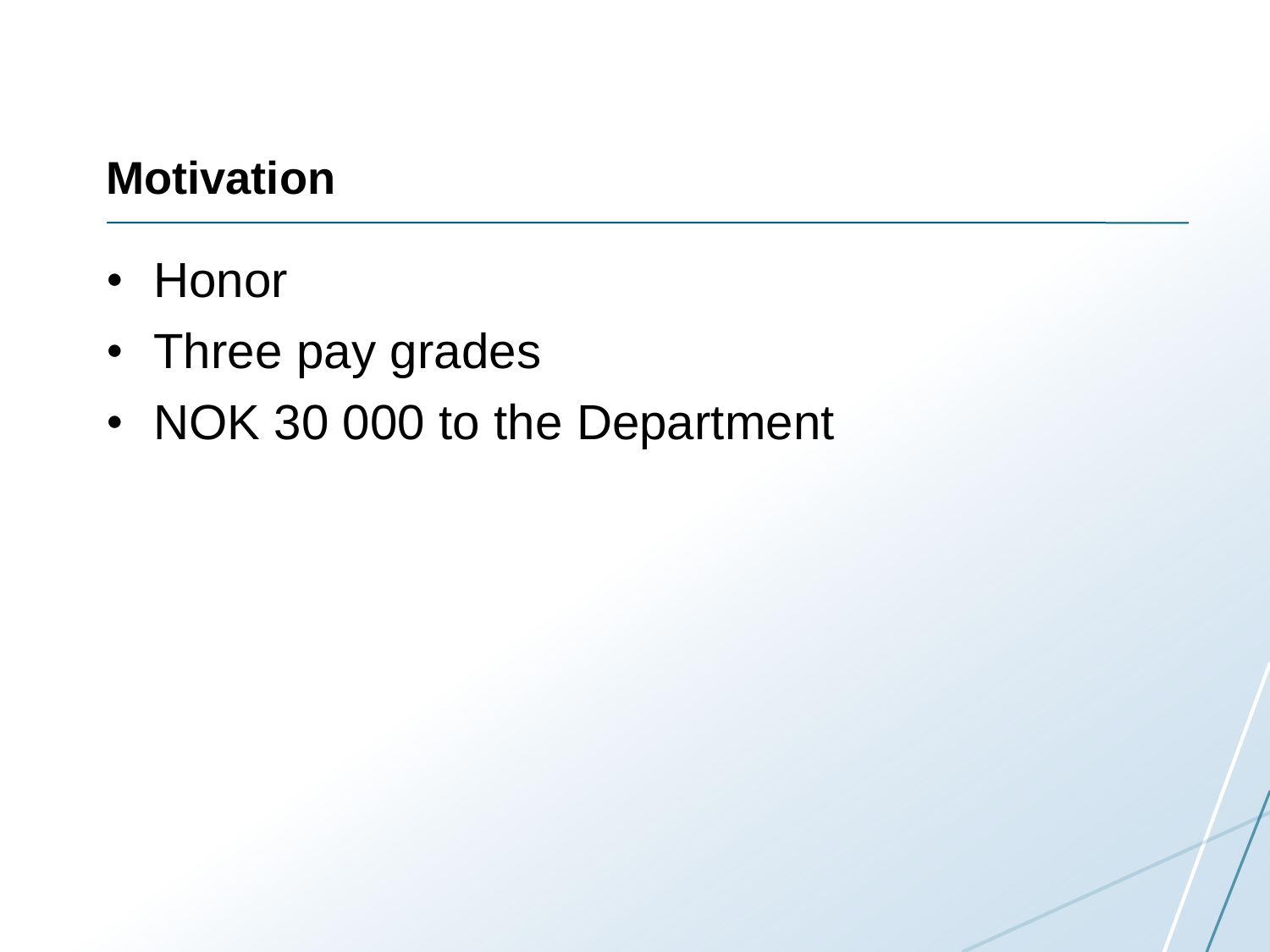### **Motivation**

- Honor
- Three pay grades
- NOK 30 000 to the Department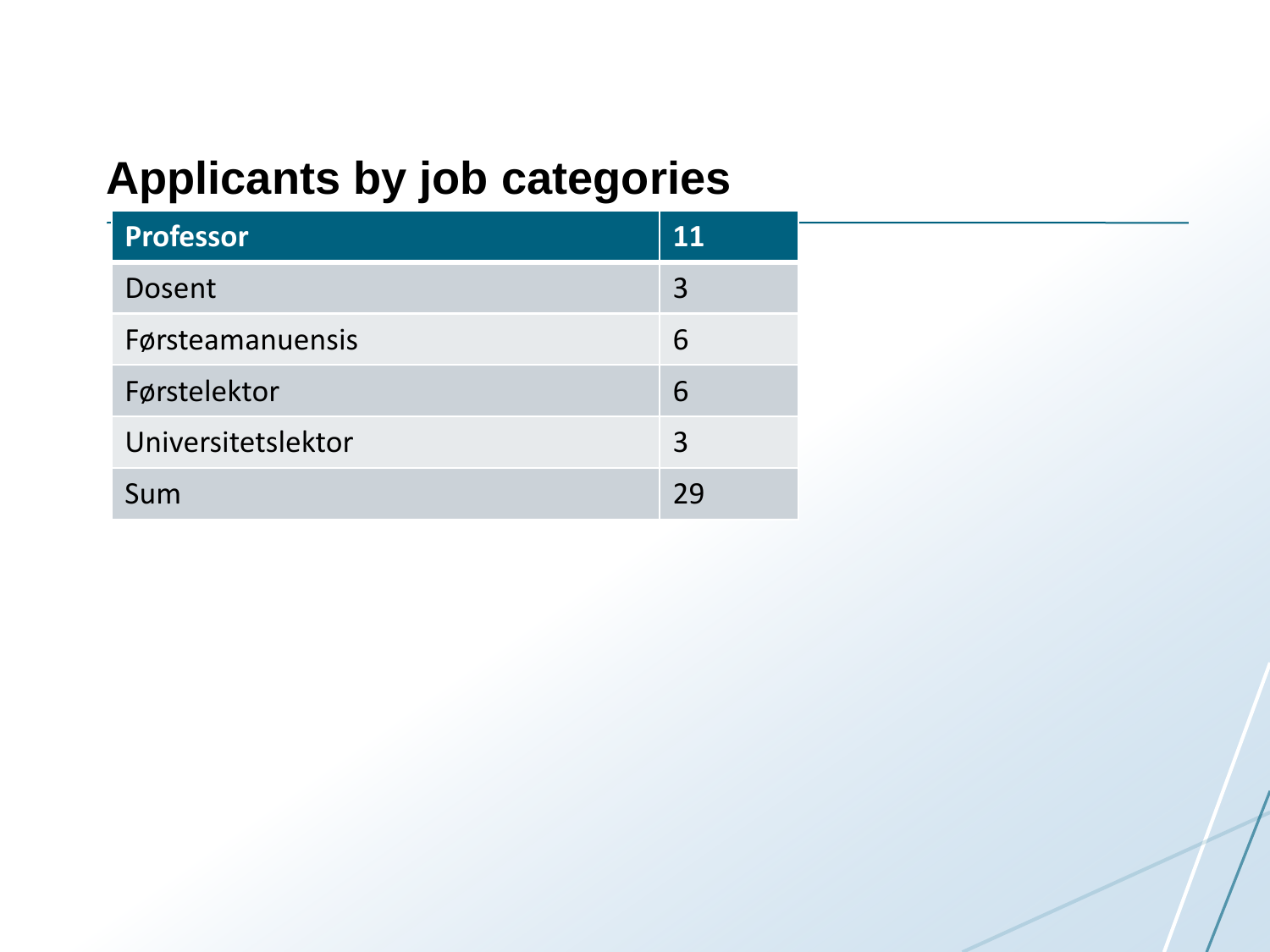## **Applicants by job categories**

| Professor          | 11 |
|--------------------|----|
| Dosent             | 3  |
| Førsteamanuensis   | 6  |
| Førstelektor       | 6  |
| Universitetslektor | 3  |
| Sum                | 29 |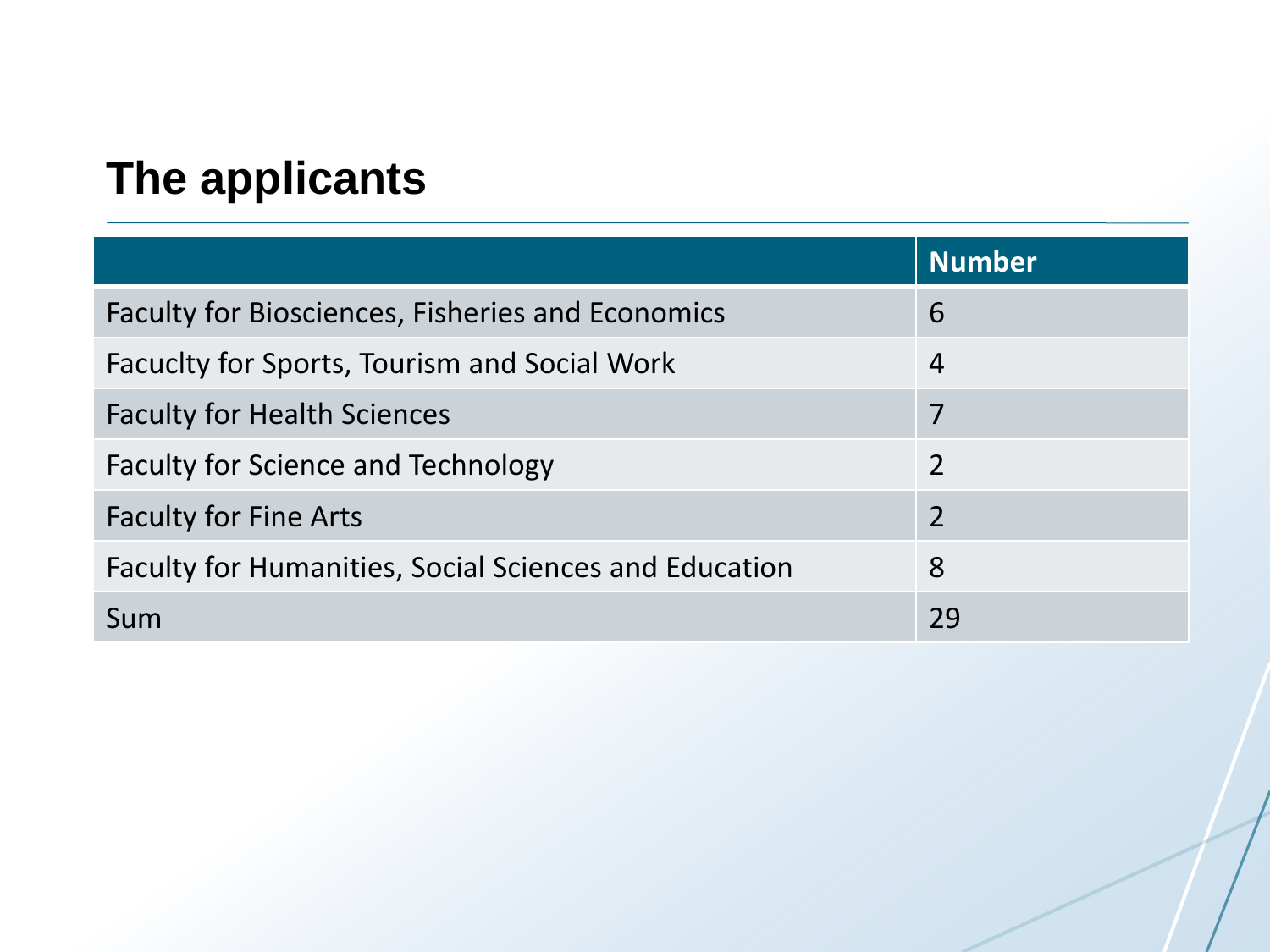# **The applicants**

|                                                              | <b>Number</b>            |
|--------------------------------------------------------------|--------------------------|
| <b>Faculty for Biosciences, Fisheries and Economics</b>      | 6                        |
| Facuclty for Sports, Tourism and Social Work                 | $\overline{4}$           |
| <b>Faculty for Health Sciences</b>                           | 7                        |
| <b>Faculty for Science and Technology</b>                    | $\overline{2}$           |
| <b>Faculty for Fine Arts</b>                                 | $\overline{\phantom{a}}$ |
| <b>Faculty for Humanities, Social Sciences and Education</b> | 8                        |
| Sum                                                          | 29                       |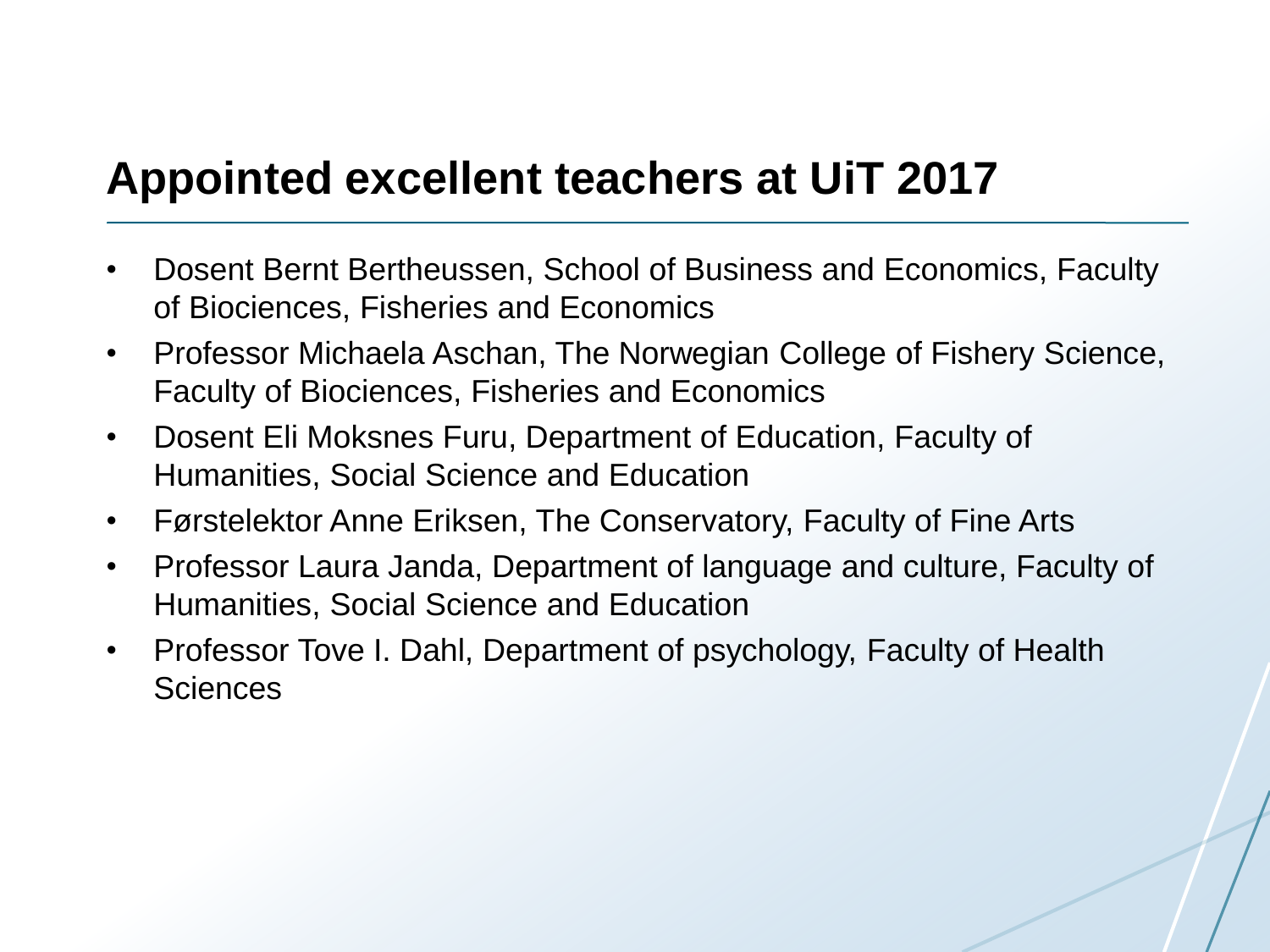#### **Appointed excellent teachers at UiT 2017**

- Dosent Bernt Bertheussen, School of Business and Economics, Faculty of Biociences, Fisheries and Economics
- Professor Michaela Aschan, The Norwegian College of Fishery Science, Faculty of Biociences, Fisheries and Economics
- Dosent Eli Moksnes Furu, Department of Education, Faculty of Humanities, Social Science and Education
- Førstelektor Anne Eriksen, The Conservatory, Faculty of Fine Arts
- Professor Laura Janda, Department of language and culture, Faculty of Humanities, Social Science and Education
- Professor Tove I. Dahl, Department of psychology, Faculty of Health **Sciences**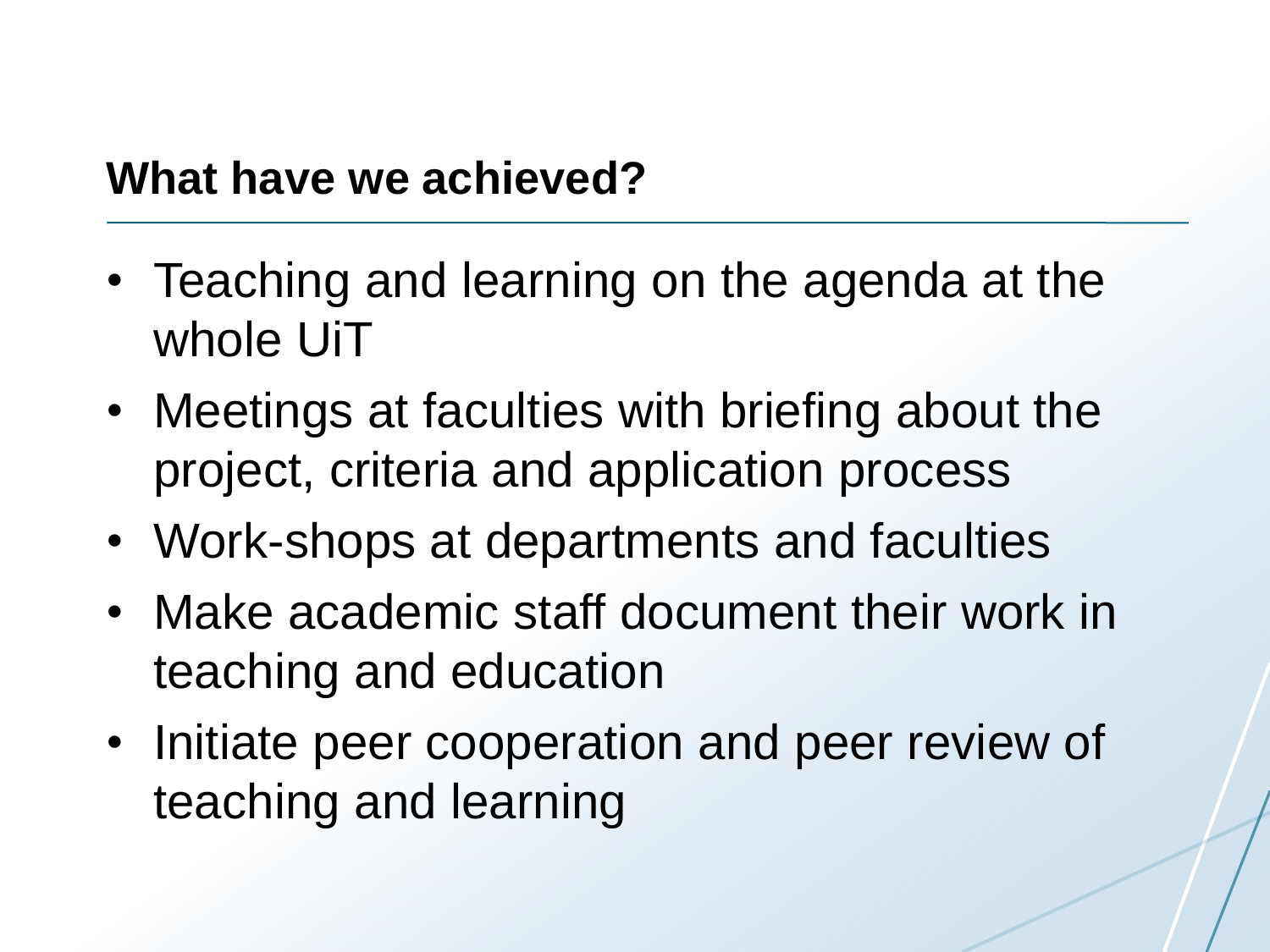#### **What have we achieved?**

- Teaching and learning on the agenda at the whole UiT
- Meetings at faculties with briefing about the project, criteria and application process
- Work-shops at departments and faculties
- Make academic staff document their work in teaching and education
- Initiate peer cooperation and peer review of teaching and learning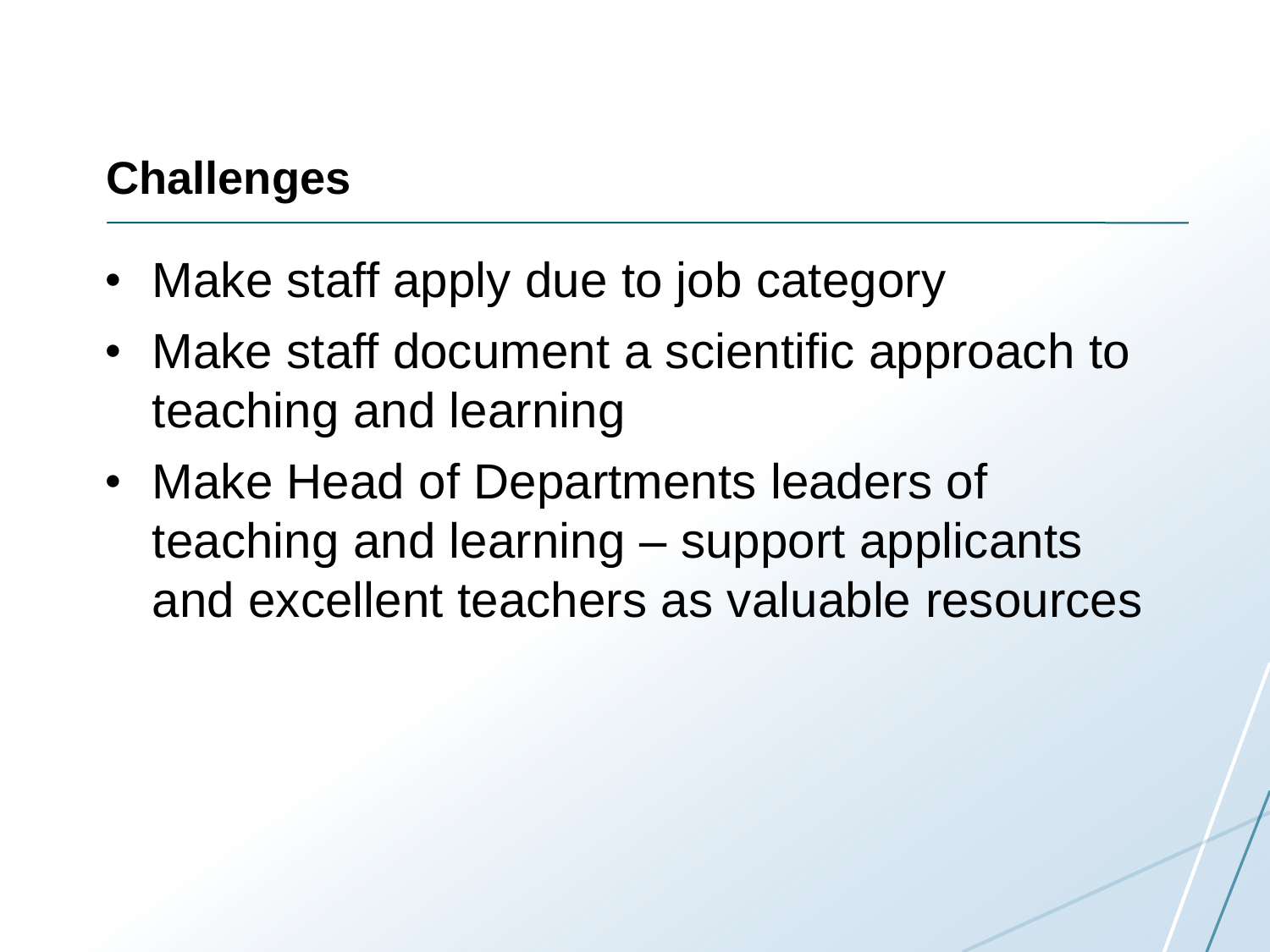# **Challenges**

- Make staff apply due to job category
- Make staff document a scientific approach to teaching and learning
- Make Head of Departments leaders of teaching and learning – support applicants and excellent teachers as valuable resources